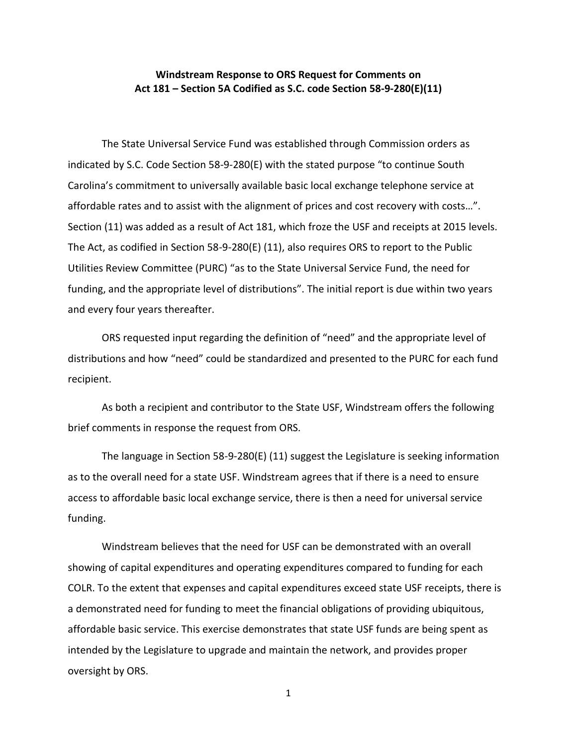## **Windstream Response to ORS Request for Comments on Act 181 – Section 5A Codified as S.C. code Section 58-9-280(E)(11)**

The State Universal Service Fund was established through Commission orders as indicated by S.C. Code Section 58-9-280(E) with the stated purpose "to continue South Carolina's commitment to universally available basic local exchange telephone service at affordable rates and to assist with the alignment of prices and cost recovery with costs…". Section (11) was added as a result of Act 181, which froze the USF and receipts at 2015 levels. The Act, as codified in Section 58-9-280(E) (11), also requires ORS to report to the Public Utilities Review Committee (PURC) "as to the State Universal Service Fund, the need for funding, and the appropriate level of distributions". The initial report is due within two years and every four years thereafter.

ORS requested input regarding the definition of "need" and the appropriate level of distributions and how "need" could be standardized and presented to the PURC for each fund recipient.

As both a recipient and contributor to the State USF, Windstream offers the following brief comments in response the request from ORS.

The language in Section 58-9-280(E) (11) suggest the Legislature is seeking information as to the overall need for a state USF. Windstream agrees that if there is a need to ensure access to affordable basic local exchange service, there is then a need for universal service funding.

Windstream believes that the need for USF can be demonstrated with an overall showing of capital expenditures and operating expenditures compared to funding for each COLR. To the extent that expenses and capital expenditures exceed state USF receipts, there is a demonstrated need for funding to meet the financial obligations of providing ubiquitous, affordable basic service. This exercise demonstrates that state USF funds are being spent as intended by the Legislature to upgrade and maintain the network, and provides proper oversight by ORS.

1